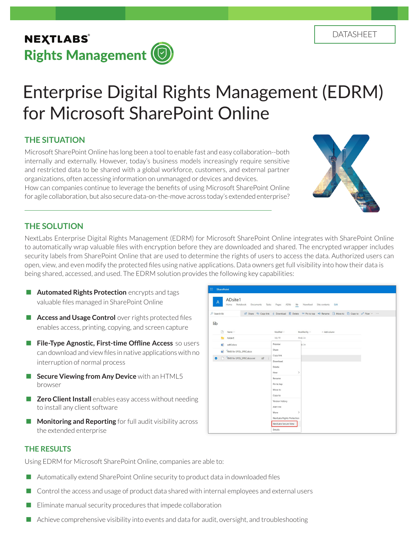# Enterprise Digital Rights Management (EDRM) for Microsoft SharePoint Online

# **THE SITUATION**

Microsoft SharePoint Online has long been a tool to enable fast and easy collaboration--both internally and externally. However, today's business models increasingly require sensitive and restricted data to be shared with a global workforce, customers, and external partner organizations, often accessing information on unmanaged or devices and devices. How can companies continue to leverage the benefits of using Microsoft SharePoint Online for agile collaboration, but also secure data-on-the-move across today's extended enterprise?



## **THE SOLUTION**

NextLabs Enterprise Digital Rights Management (EDRM) for Microsoft SharePoint Online integrates with SharePoint Online to automatically wrap valuable files with encryption before they are downloaded and shared. The encrypted wrapper includes security labels from SharePoint Online that are used to determine the rights of users to access the data. Authorized users can open, view, and even modify the protected files using native applications. Data owners get full visibility into how their data is being shared, accessed, and used. The EDRM solution provides the following key capabilities:

- **Automated Rights Protection** encrypts and tags valuable files managed in SharePoint Online
- **Access and Usage Control** over rights protected files enables access, printing, copying, and screen capture
- **File-Type Agnostic, First-time Offline Access** so users can download and view files in native applications with no interruption of normal process
- **Secure Viewing from Any Device** with an HTML5 browser
- **Zero Client Install** enables easy access without needing to install any client software
- **Monitoring and Reporting** for full audit visibility across the extended enterprise

| ADsite1<br>$\overline{A}$<br>Documents Tasks Pages ADlib lib Newsfeed Site contents<br>Notebook<br>Edit<br>Home |                                                                                                             |                                   |  |  |  |  |
|-----------------------------------------------------------------------------------------------------------------|-------------------------------------------------------------------------------------------------------------|-----------------------------------|--|--|--|--|
| O Search lib                                                                                                    | in Share © Copy link ↓ Download i Delete -12 Pin to top =1 Rename F Move to D Copy to o" Flow $\vee \cdots$ |                                   |  |  |  |  |
| lib                                                                                                             |                                                                                                             |                                   |  |  |  |  |
| n<br>Name $\vee$                                                                                                | Modified $\vee$                                                                                             | Modified By $\times$ + Add column |  |  |  |  |
| folderE<br><b>The</b>                                                                                           | July 10                                                                                                     | Andy Lin                          |  |  |  |  |
| $\mathbf{u}$<br>adt0.docx                                                                                       | Preview                                                                                                     | ty Lin                            |  |  |  |  |
| RMX for SPOL_SPEC.docx                                                                                          | Share                                                                                                       |                                   |  |  |  |  |
| RMX for SPOL_SPEC.docx.nxl<br>B<br>n.<br>ø                                                                      | Copy link<br>Download                                                                                       |                                   |  |  |  |  |
|                                                                                                                 | Delete                                                                                                      |                                   |  |  |  |  |
|                                                                                                                 | $\,$<br>Flow                                                                                                |                                   |  |  |  |  |
|                                                                                                                 | Rename                                                                                                      |                                   |  |  |  |  |
|                                                                                                                 | Pin to top                                                                                                  |                                   |  |  |  |  |
|                                                                                                                 | Move to                                                                                                     |                                   |  |  |  |  |
|                                                                                                                 | Copy to<br>Version history                                                                                  |                                   |  |  |  |  |
|                                                                                                                 | Alert me                                                                                                    |                                   |  |  |  |  |
|                                                                                                                 | $\rightarrow$<br>More                                                                                       |                                   |  |  |  |  |
|                                                                                                                 | NextLabs Rights Protection                                                                                  |                                   |  |  |  |  |
|                                                                                                                 | NextLabs Secure View                                                                                        |                                   |  |  |  |  |

## **THE RESULTS**

Using EDRM for Microsoft SharePoint Online, companies are able to:

- Automatically extend SharePoint Online security to product data in downloaded files
- **Control the access and usage of product data shared with internal employees and external users**
- $\blacksquare$  Eliminate manual security procedures that impede collaboration
- $\blacksquare$  Achieve comprehensive visibility into events and data for audit, oversight, and troubleshooting